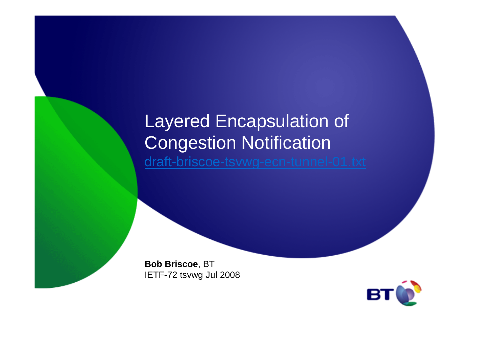## Layered Encapsulation of Congestion Notificationdraft-briscoe-tsvwg-ecn-tunnel-01.txt

**Bob Briscoe**, BTIETF-72 tsvwg Jul 2008

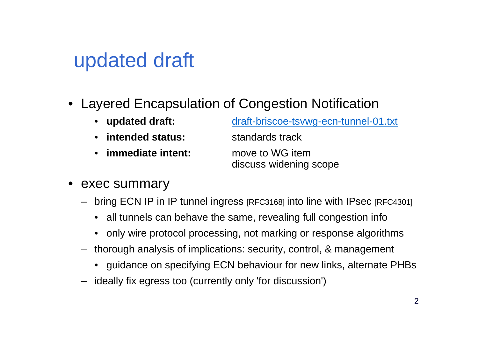# updated draft

• Layered Encapsulation of Congestion Notification

| • updated draft:   | draft-briscoe-tsywg-ecn-tunnel-01.txt |
|--------------------|---------------------------------------|
| • intended status: | standards track                       |

• **immediate intent:** move to WG item

discuss widening scope

- exec summary
	- bring ECN IP in IP tunnel ingress [RFC3168] into line with IPsec [RFC4301]
		- all tunnels can behave the same, revealing full congestion info
		- only wire protocol processing, not marking or response algorithms
	- thorough analysis of implications: security, control, & management
		- guidance on specifying ECN behaviour for new links, alternate PHBs
	- ideally fix egress too (currently only 'for discussion')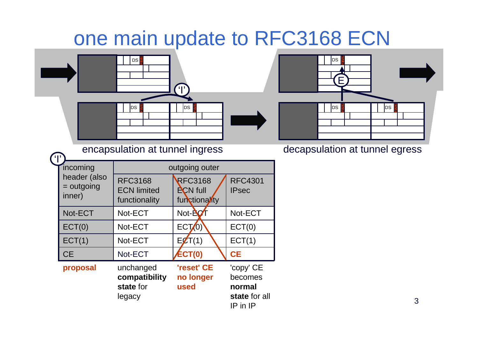## one main update to RFC3168 ECN



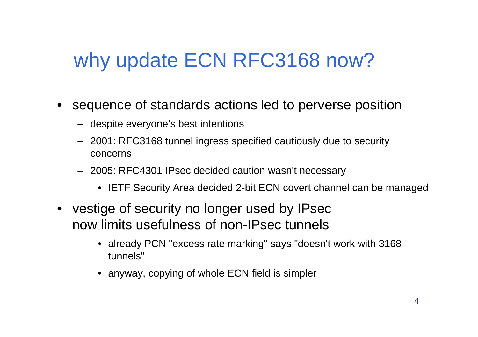# why update ECN RFC3168 now?

- sequence of standards actions led to perverse position
	- despite everyone's best intentions
	- 2001: RFC3168 tunnel ingress specified cautiously due to security concerns
	- 2005: RFC4301 IPsec decided caution wasn't necessary
		- IETF Security Area decided 2-bit ECN covert channel can be managed
- vestige of security no longer used by IPsec now limits usefulness of non-IPsec tunnels
	- already PCN "excess rate marking" says "doesn't work with 3168 tunnels"
	- anyway, copying of whole ECN field is simpler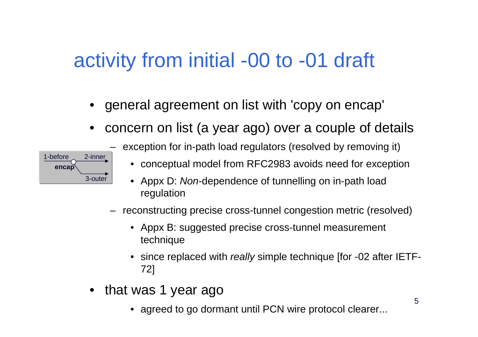# activity from initial -00 to -01 draft

- •general agreement on list with 'copy on encap'
- •concern on list (a year ago) over a couple of details



- exception for in-path load regulators (resolved by removing it)
	- conceptual model from RFC2983 avoids need for exception
	- Appx D: Non-dependence of tunnelling on in-path load regulation
- reconstructing precise cross-tunnel congestion metric (resolved)
	- Appx B: suggested precise cross-tunnel measurement technique
	- $\bullet~$  since replaced with *really* simple technique [for -02 after IETF-72]
- • that was 1 year ago
	- agreed to go dormant until PCN wire protocol clearer...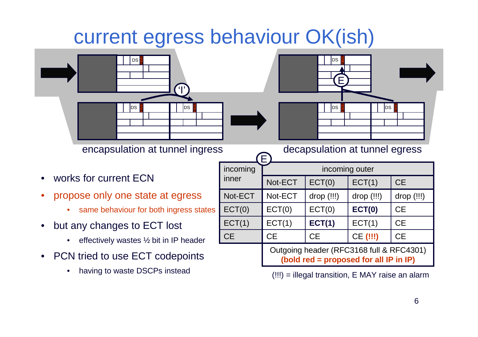## current egress behaviour OK(ish)

E





encapsulation at tunnel ingress decapsulation at tunnel egress

- •works for current ECN
- • propose only one state at egress
	- •same behaviour for both ingress states
- • but any changes to ECT lost
	- •effectively wastes ½ bit in IP header
- • PCN tried to use ECT codepoints
	- •having to waste DSCPs instead

| incoming  | incoming outer                                                                     |            |            |            |  |  |  |
|-----------|------------------------------------------------------------------------------------|------------|------------|------------|--|--|--|
| inner     | Not-ECT                                                                            | ECT(0)     | ECT(1)     | <b>CE</b>  |  |  |  |
| Not-ECT   | Not-ECT                                                                            | drop (!!!) | drop (!!!) | drop (!!!) |  |  |  |
| ECT(0)    | ECT(0)                                                                             | ECT(0)     | ECT(0)     | <b>CE</b>  |  |  |  |
| ECT(1)    | ECT(1)                                                                             | ECT(1)     | ECT(1)     | <b>CE</b>  |  |  |  |
| <b>CE</b> | <b>CE</b>                                                                          | <b>CE</b>  | CE (!!!)   | <b>CE</b>  |  |  |  |
|           | Outgoing header (RFC3168 full & RFC4301)<br>(bold red = proposed for all IP in IP) |            |            |            |  |  |  |

(!!!) = illegal transition, E MAY raise an alarm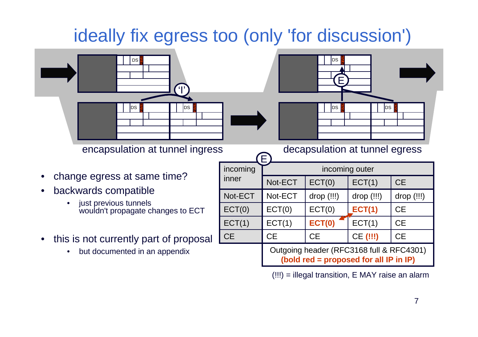## ideally fix egress too (only 'for discussion')

E





encapsulation at tunnel ingress decapsulation at tunnel egress

- •change egress at same time?
- • backwards compatible
	- just previous tunnels •wouldn't propagate changes to ECT
- • this is not currently part of proposal
	- •but documented in an appendix

|            | incoming  | incoming outer                                                                     |               |               |            |  |  |
|------------|-----------|------------------------------------------------------------------------------------|---------------|---------------|------------|--|--|
|            | inner     | Not-ECT                                                                            | ECT(0)        | ECT(1)        | <b>CE</b>  |  |  |
|            | Not-ECT   | Not-ECT                                                                            | drop (!!!)    | drop (!!!)    | drop (!!!) |  |  |
| <b>ECT</b> | ECT(0)    | ECT(0)                                                                             | ECT(0)        | <b>ECT(1)</b> | <b>CE</b>  |  |  |
|            | ECT(1)    | ECT(1)                                                                             | <b>ECT(0)</b> | ECT(1)        | <b>CE</b>  |  |  |
| posal      | <b>CE</b> | <b>CE</b>                                                                          | <b>CE</b>     | CE (!!!)      | <b>CE</b>  |  |  |
| X.         |           | Outgoing header (RFC3168 full & RFC4301)<br>(bold red = proposed for all IP in IP) |               |               |            |  |  |

(!!!) = illegal transition, E MAY raise an alarm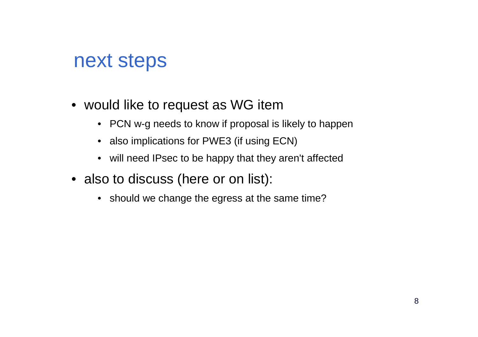## next steps

- would like to request as WG item
	- PCN w-g needs to know if proposal is likely to happen
	- also implications for PWE3 (if using ECN)
	- will need IPsec to be happy that they aren't affected
- also to discuss (here or on list):
	- should we change the egress at the same time?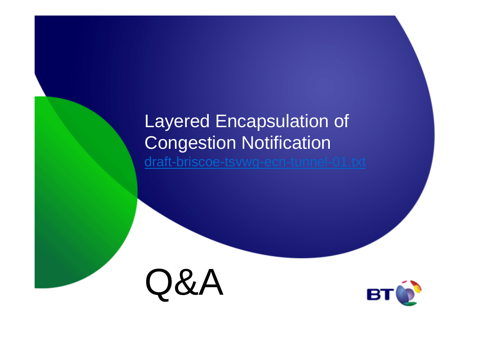## Layered Encapsulation of Congestion Notificationdraft-briscoe-tsvwg-ecn-tunnel-01.txt



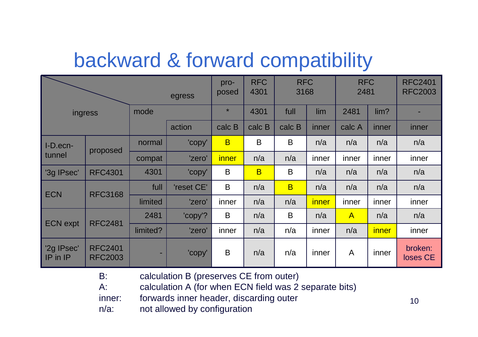# backward & forward compatibility

| egress                 |                                  |          | pro-<br>posed | <b>RFC</b><br>4301 | <b>RFC</b><br>3168      |                | <b>RFC</b><br>2481 |                | <b>RFC2401</b><br><b>RFC2003</b> |                     |
|------------------------|----------------------------------|----------|---------------|--------------------|-------------------------|----------------|--------------------|----------------|----------------------------------|---------------------|
| ingress                |                                  | mode     |               | $\star$            | 4301                    | full           | lim                | 2481           | lim?                             |                     |
|                        |                                  |          | action        | calc B             | calc B                  | calc B         | inner              | calc A         | inner                            | inner               |
| I-D.ecn-               | proposed                         | normal   | 'copy'        | $\overline{B}$     | B                       | B              | n/a                | n/a            | n/a                              | n/a                 |
| tunnel                 |                                  | compat   | 'zero'        | <i>inner</i>       | n/a                     | n/a            | inner              | inner          | inner                            | inner               |
| '3g IPsec'             | <b>RFC4301</b>                   | 4301     | 'copy'        | B                  | $\overline{\mathsf{B}}$ | B              | n/a                | n/a            | n/a                              | n/a                 |
| <b>ECN</b>             | <b>RFC3168</b>                   | full     | 'reset CE'    | B                  | n/a                     | $\overline{B}$ | n/a                | n/a            | n/a                              | n/a                 |
|                        |                                  | limited  | 'zero'        | inner              | n/a                     | n/a            | <i>inner</i>       | inner          | inner                            | inner               |
| <b>ECN</b> expt        | <b>RFC2481</b>                   | 2481     | 'copy'?       | B                  | n/a                     | B              | n/a                | $\overline{A}$ | n/a                              | n/a                 |
|                        |                                  | limited? | 'zero'        | inner              | n/a                     | n/a            | inner              | n/a            | <i>inner</i>                     | inner               |
| '2g IPsec'<br>IP in IP | <b>RFC2401</b><br><b>RFC2003</b> | ۰.       | 'copy'        | B                  | n/a                     | n/a            | inner              | A              | inner                            | broken:<br>loses CE |

B: calculation B (preserves CE from outer)

A: calculation A (for when ECN field was 2 separate bits)

inner: forwards inner header, discarding outer

n/a: not allowed by configuration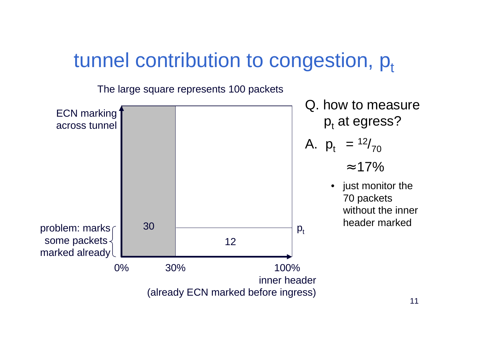## tunnel contribution to congestion,  $p_t$

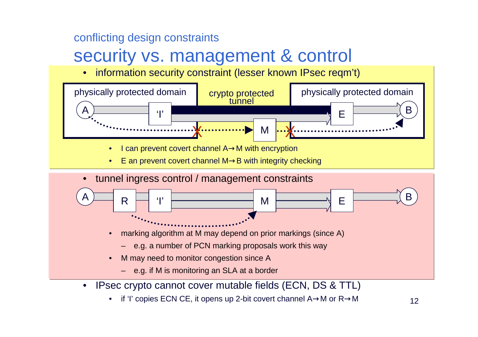#### conflicting design constraints

## security vs. management & control

•information security constraint (lesser known IPsec reqm't)



•if 'I' copies ECN CE, it opens up 2-bit covert channel A→M or R→M